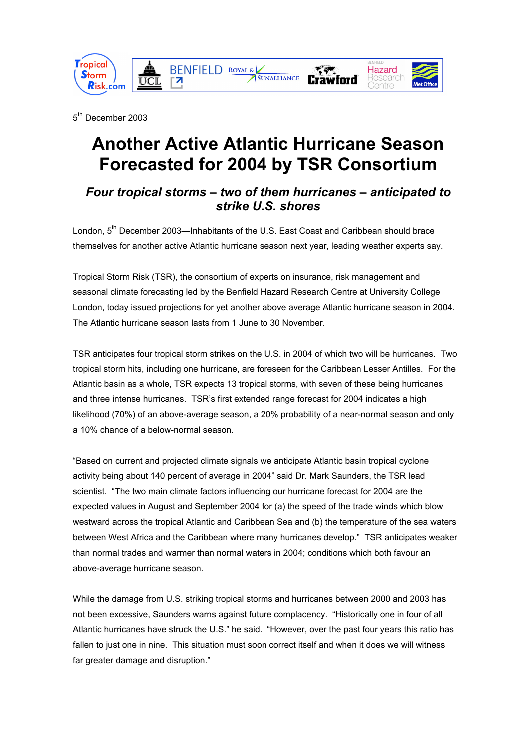

5<sup>th</sup> December 2003

# **Another Active Atlantic Hurricane Season Forecasted for 2004 by TSR Consortium**

## *Four tropical storms – two of them hurricanes – anticipated to strike U.S. shores*

London, 5<sup>th</sup> December 2003—Inhabitants of the U.S. East Coast and Caribbean should brace themselves for another active Atlantic hurricane season next year, leading weather experts say.

Tropical Storm Risk (TSR), the consortium of experts on insurance, risk management and seasonal climate forecasting led by the Benfield Hazard Research Centre at University College London, today issued projections for yet another above average Atlantic hurricane season in 2004. The Atlantic hurricane season lasts from 1 June to 30 November.

TSR anticipates four tropical storm strikes on the U.S. in 2004 of which two will be hurricanes. Two tropical storm hits, including one hurricane, are foreseen for the Caribbean Lesser Antilles. For the Atlantic basin as a whole, TSR expects 13 tropical storms, with seven of these being hurricanes and three intense hurricanes. TSR's first extended range forecast for 2004 indicates a high likelihood (70%) of an above-average season, a 20% probability of a near-normal season and only a 10% chance of a below-normal season.

"Based on current and projected climate signals we anticipate Atlantic basin tropical cyclone activity being about 140 percent of average in 2004" said Dr. Mark Saunders, the TSR lead scientist. "The two main climate factors influencing our hurricane forecast for 2004 are the expected values in August and September 2004 for (a) the speed of the trade winds which blow westward across the tropical Atlantic and Caribbean Sea and (b) the temperature of the sea waters between West Africa and the Caribbean where many hurricanes develop." TSR anticipates weaker than normal trades and warmer than normal waters in 2004; conditions which both favour an above-average hurricane season.

While the damage from U.S. striking tropical storms and hurricanes between 2000 and 2003 has not been excessive, Saunders warns against future complacency. "Historically one in four of all Atlantic hurricanes have struck the U.S." he said. "However, over the past four years this ratio has fallen to just one in nine. This situation must soon correct itself and when it does we will witness far greater damage and disruption."